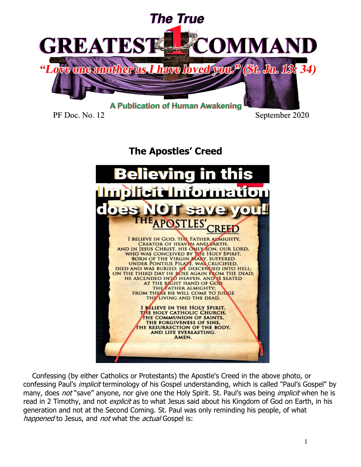

PF Doc. No. 12 September 2020

# **The Apostles' Creed**



 Confessing (by either Catholics or Protestants) the Apostle's Creed in the above photo, or confessing Paul's implicit terminology of his Gospel understanding, which is called "Paul's Gospel" by many, does *not* "save" anyone, nor give one the Holy Spirit. St. Paul's was being *implicit* when he is read in 2 Timothy, and not *explicit* as to what Jesus said about his Kingdom of God on Earth, in his generation and not at the Second Coming. St. Paul was only reminding his people, of what happened to Jesus, and not what the actual Gospel is: